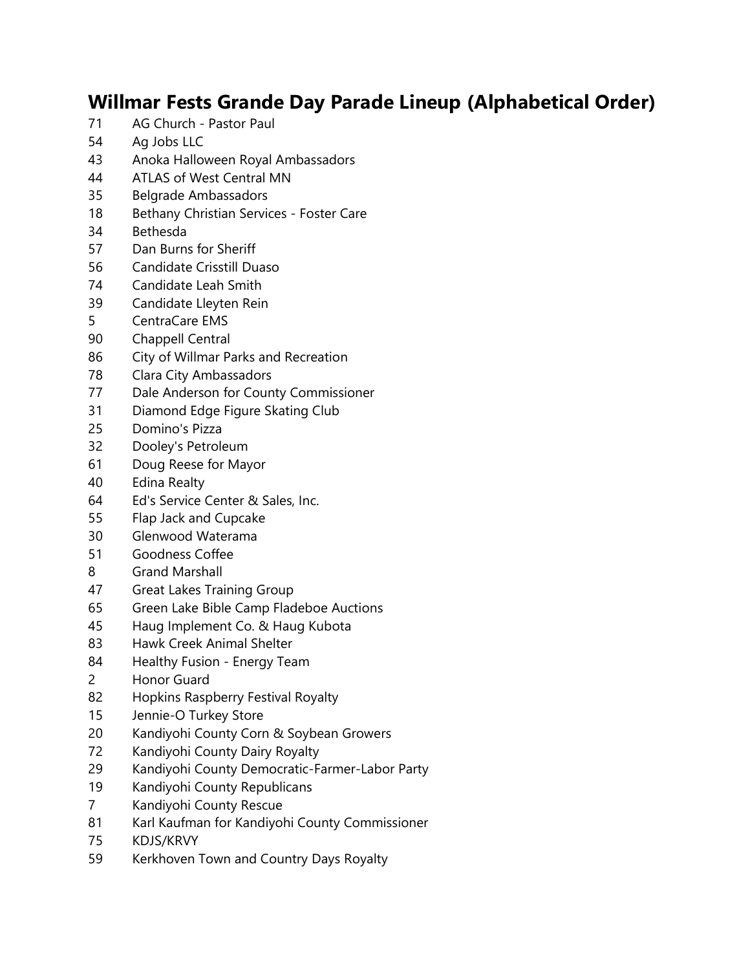## **Willmar Fests Grande Day Parade Lineup (Alphabetical Order)**

- AG Church Pastor Paul
- Ag Jobs LLC
- Anoka Halloween Royal Ambassadors
- ATLAS of West Central MN
- Belgrade Ambassadors
- 18 Bethany Christian Services Foster Care
- Bethesda
- Dan Burns for Sheriff
- Candidate Crisstill Duaso
- Candidate Leah Smith
- Candidate Lleyten Rein
- CentraCare EMS
- Chappell Central
- City of Willmar Parks and Recreation
- Clara City Ambassadors
- Dale Anderson for County Commissioner
- Diamond Edge Figure Skating Club
- Domino's Pizza
- Dooley's Petroleum
- Doug Reese for Mayor
- Edina Realty
- Ed's Service Center & Sales, Inc.
- Flap Jack and Cupcake
- Glenwood Waterama
- Goodness Coffee
- Grand Marshall
- Great Lakes Training Group
- Green Lake Bible Camp Fladeboe Auctions
- Haug Implement Co. & Haug Kubota
- Hawk Creek Animal Shelter
- Healthy Fusion Energy Team
- Honor Guard
- Hopkins Raspberry Festival Royalty
- Jennie-O Turkey Store
- Kandiyohi County Corn & Soybean Growers
- Kandiyohi County Dairy Royalty
- Kandiyohi County Democratic-Farmer-Labor Party
- Kandiyohi County Republicans
- Kandiyohi County Rescue
- Karl Kaufman for Kandiyohi County Commissioner
- KDJS/KRVY
- Kerkhoven Town and Country Days Royalty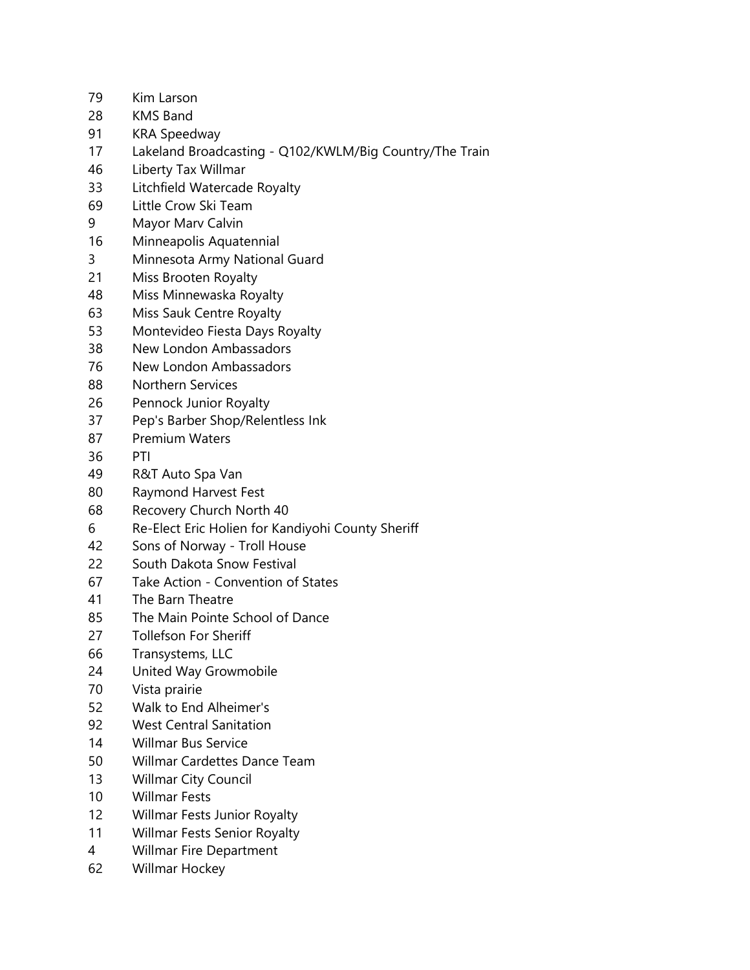- Kim Larson
- KMS Band
- KRA Speedway
- Lakeland Broadcasting Q102/KWLM/Big Country/The Train
- Liberty Tax Willmar
- Litchfield Watercade Royalty
- Little Crow Ski Team
- Mayor Marv Calvin
- Minneapolis Aquatennial
- Minnesota Army National Guard
- Miss Brooten Royalty
- Miss Minnewaska Royalty
- Miss Sauk Centre Royalty
- Montevideo Fiesta Days Royalty
- New London Ambassadors
- New London Ambassadors
- Northern Services
- Pennock Junior Royalty
- Pep's Barber Shop/Relentless Ink
- Premium Waters
- PTI
- R&T Auto Spa Van
- Raymond Harvest Fest
- Recovery Church North 40
- Re-Elect Eric Holien for Kandiyohi County Sheriff
- Sons of Norway Troll House
- South Dakota Snow Festival
- Take Action Convention of States
- The Barn Theatre
- The Main Pointe School of Dance
- Tollefson For Sheriff
- Transystems, LLC
- United Way Growmobile
- Vista prairie
- Walk to End Alheimer's
- West Central Sanitation
- Willmar Bus Service
- Willmar Cardettes Dance Team
- Willmar City Council
- Willmar Fests
- Willmar Fests Junior Royalty
- Willmar Fests Senior Royalty
- Willmar Fire Department
- Willmar Hockey